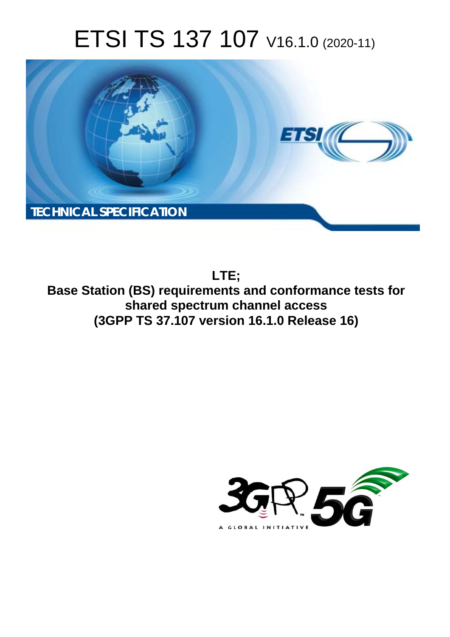# ETSI TS 137 107 V16.1.0 (2020-11)



**LTE; Base Station (BS) requirements and conformance tests for shared spectrum channel access (3GPP TS 37.107 version 16.1.0 Release 16)** 

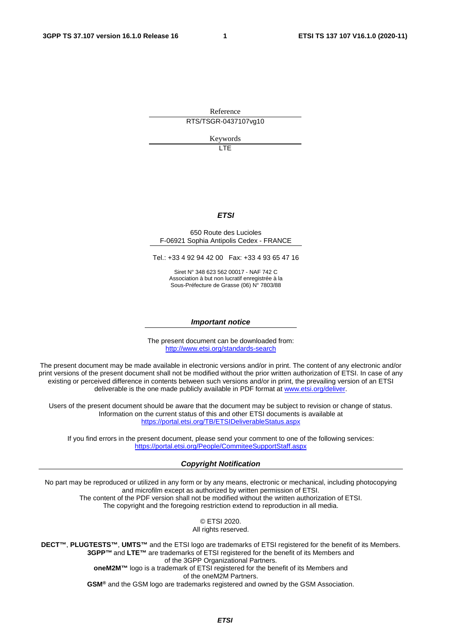Reference RTS/TSGR-0437107vg10

Keywords LTE

*ETSI* 

#### 650 Route des Lucioles F-06921 Sophia Antipolis Cedex - FRANCE

Tel.: +33 4 92 94 42 00 Fax: +33 4 93 65 47 16

Siret N° 348 623 562 00017 - NAF 742 C Association à but non lucratif enregistrée à la Sous-Préfecture de Grasse (06) N° 7803/88

#### *Important notice*

The present document can be downloaded from: <http://www.etsi.org/standards-search>

The present document may be made available in electronic versions and/or in print. The content of any electronic and/or print versions of the present document shall not be modified without the prior written authorization of ETSI. In case of any existing or perceived difference in contents between such versions and/or in print, the prevailing version of an ETSI deliverable is the one made publicly available in PDF format at [www.etsi.org/deliver](http://www.etsi.org/deliver).

Users of the present document should be aware that the document may be subject to revision or change of status. Information on the current status of this and other ETSI documents is available at <https://portal.etsi.org/TB/ETSIDeliverableStatus.aspx>

If you find errors in the present document, please send your comment to one of the following services: <https://portal.etsi.org/People/CommiteeSupportStaff.aspx>

#### *Copyright Notification*

No part may be reproduced or utilized in any form or by any means, electronic or mechanical, including photocopying and microfilm except as authorized by written permission of ETSI. The content of the PDF version shall not be modified without the written authorization of ETSI. The copyright and the foregoing restriction extend to reproduction in all media.

> © ETSI 2020. All rights reserved.

**DECT™**, **PLUGTESTS™**, **UMTS™** and the ETSI logo are trademarks of ETSI registered for the benefit of its Members. **3GPP™** and **LTE™** are trademarks of ETSI registered for the benefit of its Members and of the 3GPP Organizational Partners. **oneM2M™** logo is a trademark of ETSI registered for the benefit of its Members and of the oneM2M Partners. **GSM®** and the GSM logo are trademarks registered and owned by the GSM Association.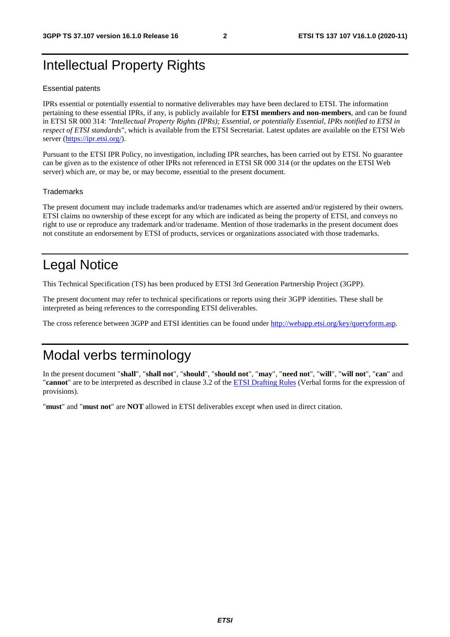## Intellectual Property Rights

#### Essential patents

IPRs essential or potentially essential to normative deliverables may have been declared to ETSI. The information pertaining to these essential IPRs, if any, is publicly available for **ETSI members and non-members**, and can be found in ETSI SR 000 314: *"Intellectual Property Rights (IPRs); Essential, or potentially Essential, IPRs notified to ETSI in respect of ETSI standards"*, which is available from the ETSI Secretariat. Latest updates are available on the ETSI Web server [\(https://ipr.etsi.org/](https://ipr.etsi.org/)).

Pursuant to the ETSI IPR Policy, no investigation, including IPR searches, has been carried out by ETSI. No guarantee can be given as to the existence of other IPRs not referenced in ETSI SR 000 314 (or the updates on the ETSI Web server) which are, or may be, or may become, essential to the present document.

#### **Trademarks**

The present document may include trademarks and/or tradenames which are asserted and/or registered by their owners. ETSI claims no ownership of these except for any which are indicated as being the property of ETSI, and conveys no right to use or reproduce any trademark and/or tradename. Mention of those trademarks in the present document does not constitute an endorsement by ETSI of products, services or organizations associated with those trademarks.

## Legal Notice

This Technical Specification (TS) has been produced by ETSI 3rd Generation Partnership Project (3GPP).

The present document may refer to technical specifications or reports using their 3GPP identities. These shall be interpreted as being references to the corresponding ETSI deliverables.

The cross reference between 3GPP and ETSI identities can be found under<http://webapp.etsi.org/key/queryform.asp>.

### Modal verbs terminology

In the present document "**shall**", "**shall not**", "**should**", "**should not**", "**may**", "**need not**", "**will**", "**will not**", "**can**" and "**cannot**" are to be interpreted as described in clause 3.2 of the [ETSI Drafting Rules](https://portal.etsi.org/Services/editHelp!/Howtostart/ETSIDraftingRules.aspx) (Verbal forms for the expression of provisions).

"**must**" and "**must not**" are **NOT** allowed in ETSI deliverables except when used in direct citation.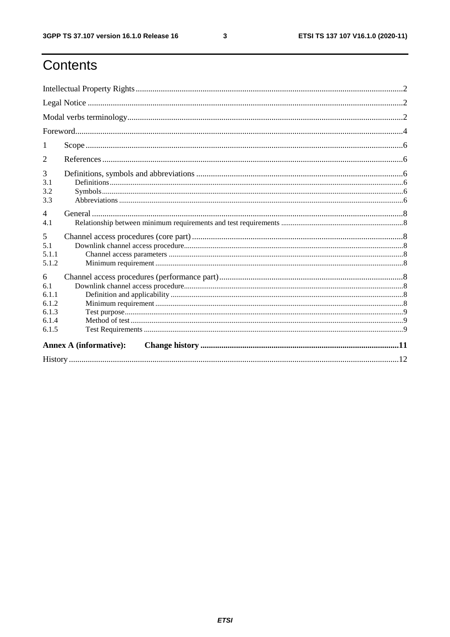ETSI TS 137 107 V16.1.0 (2020-11)

## Contents

| 1                                                     |  |  |  |  |  |
|-------------------------------------------------------|--|--|--|--|--|
| 2                                                     |  |  |  |  |  |
| 3<br>3.1<br>3.2<br>3.3                                |  |  |  |  |  |
| $\overline{4}$<br>4.1                                 |  |  |  |  |  |
| 5<br>5.1<br>5.1.1<br>5.1.2                            |  |  |  |  |  |
| 6<br>6.1<br>6.1.1<br>6.1.2<br>6.1.3<br>6.1.4<br>6.1.5 |  |  |  |  |  |
| <b>Annex A (informative):</b>                         |  |  |  |  |  |
|                                                       |  |  |  |  |  |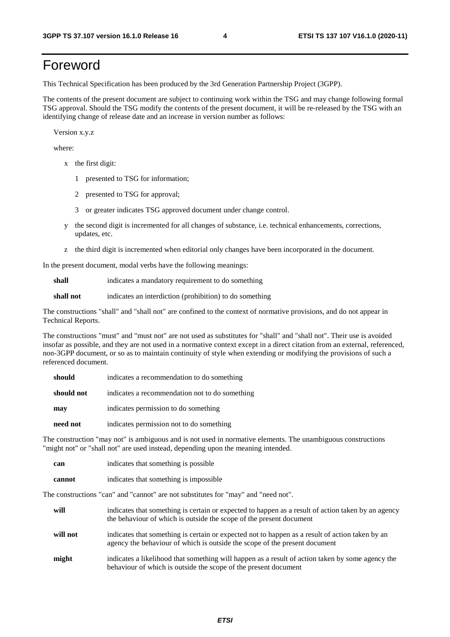## Foreword

This Technical Specification has been produced by the 3rd Generation Partnership Project (3GPP).

The contents of the present document are subject to continuing work within the TSG and may change following formal TSG approval. Should the TSG modify the contents of the present document, it will be re-released by the TSG with an identifying change of release date and an increase in version number as follows:

Version x.y.z

where:

- x the first digit:
	- 1 presented to TSG for information;
	- 2 presented to TSG for approval;
	- 3 or greater indicates TSG approved document under change control.
- y the second digit is incremented for all changes of substance, i.e. technical enhancements, corrections, updates, etc.
- z the third digit is incremented when editorial only changes have been incorporated in the document.

In the present document, modal verbs have the following meanings:

**shall** indicates a mandatory requirement to do something

**shall not** indicates an interdiction (prohibition) to do something

The constructions "shall" and "shall not" are confined to the context of normative provisions, and do not appear in Technical Reports.

The constructions "must" and "must not" are not used as substitutes for "shall" and "shall not". Their use is avoided insofar as possible, and they are not used in a normative context except in a direct citation from an external, referenced, non-3GPP document, or so as to maintain continuity of style when extending or modifying the provisions of such a referenced document.

| should     | indicates a recommendation to do something     |
|------------|------------------------------------------------|
| should not | indicates a recommendation not to do something |
| may        | indicates permission to do something           |
| need not   | indicates permission not to do something       |

The construction "may not" is ambiguous and is not used in normative elements. The unambiguous constructions "might not" or "shall not" are used instead, depending upon the meaning intended.

| can    | indicates that something is possible.  |
|--------|----------------------------------------|
| cannot | indicates that something is impossible |

The constructions "can" and "cannot" are not substitutes for "may" and "need not".

| will     | indicates that something is certain or expected to happen as a result of action taken by an agency<br>the behaviour of which is outside the scope of the present document     |
|----------|-------------------------------------------------------------------------------------------------------------------------------------------------------------------------------|
| will not | indicates that something is certain or expected not to happen as a result of action taken by an<br>agency the behaviour of which is outside the scope of the present document |
| might    | indicates a likelihood that something will happen as a result of action taken by some agency the<br>behaviour of which is outside the scope of the present document           |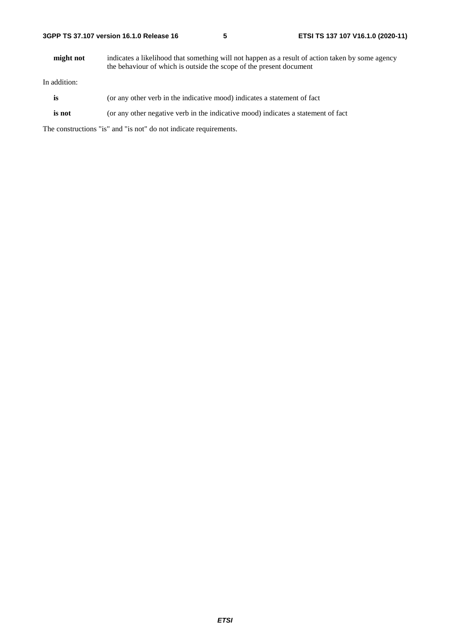**might not** indicates a likelihood that something will not happen as a result of action taken by some agency the behaviour of which is outside the scope of the present document

In addition:

- **is** (or any other verb in the indicative mood) indicates a statement of fact
- **is not** (or any other negative verb in the indicative mood) indicates a statement of fact

The constructions "is" and "is not" do not indicate requirements.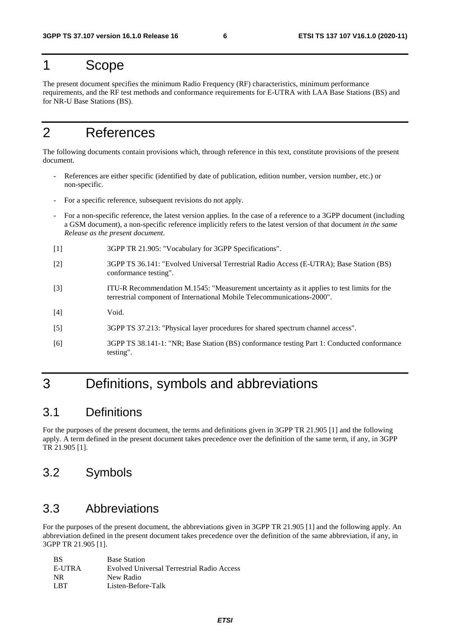### 1 Scope

The present document specifies the minimum Radio Frequency (RF) characteristics, minimum performance requirements, and the RF test methods and conformance requirements for E-UTRA with LAA Base Stations (BS) and for NR-U Base Stations (BS).

## 2 References

The following documents contain provisions which, through reference in this text, constitute provisions of the present document.

- References are either specific (identified by date of publication, edition number, version number, etc.) or non-specific.
- For a specific reference, subsequent revisions do not apply.
- For a non-specific reference, the latest version applies. In the case of a reference to a 3GPP document (including a GSM document), a non-specific reference implicitly refers to the latest version of that document *in the same Release as the present document*.
- [1] 3GPP TR 21.905: "Vocabulary for 3GPP Specifications".
- [2] 3GPP TS 36.141: "Evolved Universal Terrestrial Radio Access (E-UTRA); Base Station (BS) conformance testing".
- [3] ITU-R Recommendation M.1545: "Measurement uncertainty as it applies to test limits for the terrestrial component of International Mobile Telecommunications-2000".
- [4] Void.
- [5] 3GPP TS 37.213: "Physical layer procedures for shared spectrum channel access".
- [6] 3GPP TS 38.141-1: "NR; Base Station (BS) conformance testing Part 1: Conducted conformance testing".

## 3 Definitions, symbols and abbreviations

### 3.1 Definitions

For the purposes of the present document, the terms and definitions given in 3GPP TR 21.905 [1] and the following apply. A term defined in the present document takes precedence over the definition of the same term, if any, in 3GPP TR 21.905 [1].

### 3.2 Symbols

### 3.3 Abbreviations

For the purposes of the present document, the abbreviations given in 3GPP TR 21.905 [1] and the following apply. An abbreviation defined in the present document takes precedence over the definition of the same abbreviation, if any, in 3GPP TR 21.905 [1].

| <b>BS</b> | <b>Base Station</b>                        |
|-----------|--------------------------------------------|
| E-UTRA    | Evolved Universal Terrestrial Radio Access |
| NR.       | New Radio                                  |
| L RT      | Listen-Before-Talk                         |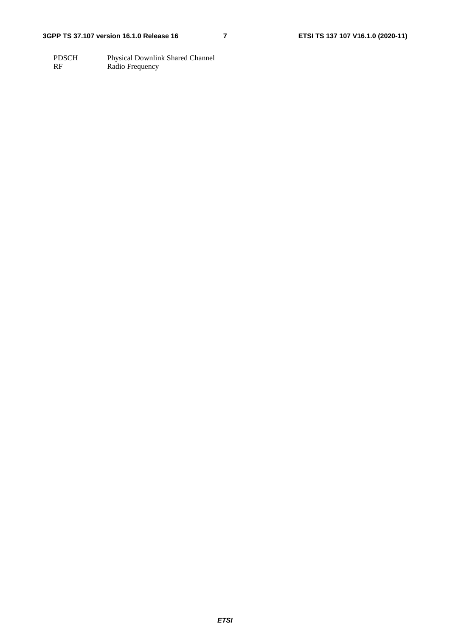PDSCH Physical Downlink Shared Channel RF Radio Frequency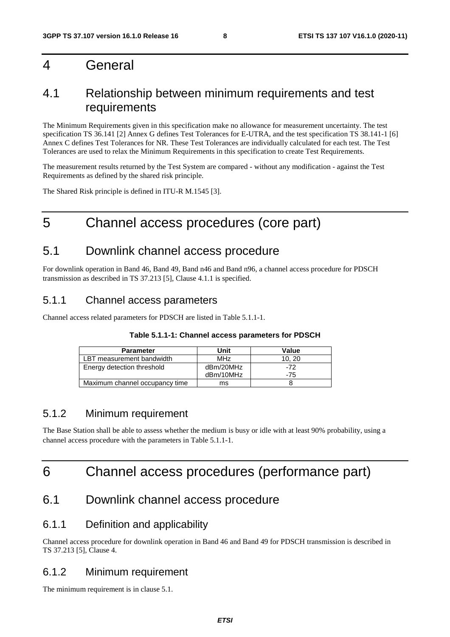### 4 General

### 4.1 Relationship between minimum requirements and test requirements

The Minimum Requirements given in this specification make no allowance for measurement uncertainty. The test specification TS 36.141 [2] Annex G defines Test Tolerances for E-UTRA, and the test specification TS 38.141-1 [6] Annex C defines Test Tolerances for NR. These Test Tolerances are individually calculated for each test. The Test Tolerances are used to relax the Minimum Requirements in this specification to create Test Requirements.

The measurement results returned by the Test System are compared - without any modification - against the Test Requirements as defined by the shared risk principle.

The Shared Risk principle is defined in ITU-R M.1545 [3].

## 5 Channel access procedures (core part)

### 5.1 Downlink channel access procedure

For downlink operation in Band 46, Band 49, Band n46 and Band n96, a channel access procedure for PDSCH transmission as described in TS 37.213 [5], Clause 4.1.1 is specified.

### 5.1.1 Channel access parameters

Channel access related parameters for PDSCH are listed in Table 5.1.1-1.

#### **Table 5.1.1-1: Channel access parameters for PDSCH**

| <b>Parameter</b>               | Unit            | Value |
|--------------------------------|-----------------|-------|
| LBT measurement bandwidth      | MH <sub>7</sub> | 10.20 |
| Energy detection threshold     | dBm/20MHz       | -72   |
|                                | dBm/10MHz       | -75   |
| Maximum channel occupancy time | ms              |       |

### 5.1.2 Minimum requirement

The Base Station shall be able to assess whether the medium is busy or idle with at least 90% probability, using a channel access procedure with the parameters in Table 5.1.1-1.

## 6 Channel access procedures (performance part)

### 6.1 Downlink channel access procedure

### 6.1.1 Definition and applicability

Channel access procedure for downlink operation in Band 46 and Band 49 for PDSCH transmission is described in TS 37.213 [5], Clause 4.

#### 6.1.2 Minimum requirement

The minimum requirement is in clause 5.1.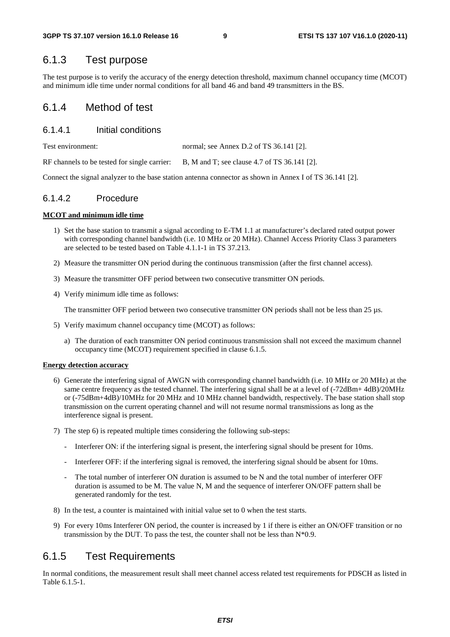### 6.1.3 Test purpose

The test purpose is to verify the accuracy of the energy detection threshold, maximum channel occupancy time (MCOT) and minimum idle time under normal conditions for all band 46 and band 49 transmitters in the BS.

#### 6.1.4 Method of test

#### 6.1.4.1 Initial conditions

Test environment: normal; see Annex D.2 of TS 36.141 [2].

RF channels to be tested for single carrier: B, M and T; see clause 4.7 of TS 36.141 [2].

Connect the signal analyzer to the base station antenna connector as shown in Annex I of TS 36.141 [2].

#### 6.1.4.2 Procedure

#### **MCOT and minimum idle time**

- 1) Set the base station to transmit a signal according to E-TM 1.1 at manufacturer's declared rated output power with corresponding channel bandwidth (i.e. 10 MHz or 20 MHz). Channel Access Priority Class 3 parameters are selected to be tested based on Table 4.1.1-1 in TS 37.213.
- 2) Measure the transmitter ON period during the continuous transmission (after the first channel access).
- 3) Measure the transmitter OFF period between two consecutive transmitter ON periods.
- 4) Verify minimum idle time as follows:

The transmitter OFF period between two consecutive transmitter ON periods shall not be less than 25 µs.

- 5) Verify maximum channel occupancy time (MCOT) as follows:
	- a) The duration of each transmitter ON period continuous transmission shall not exceed the maximum channel occupancy time (MCOT) requirement specified in clause 6.1.5.

#### **Energy detection accuracy**

- 6) Generate the interfering signal of AWGN with corresponding channel bandwidth (i.e. 10 MHz or 20 MHz) at the same centre frequency as the tested channel. The interfering signal shall be at a level of  $(-72dBm+ 4dB)/20MHz$ or (-75dBm+4dB)/10MHz for 20 MHz and 10 MHz channel bandwidth, respectively. The base station shall stop transmission on the current operating channel and will not resume normal transmissions as long as the interference signal is present.
- 7) The step 6) is repeated multiple times considering the following sub-steps:
	- Interferer ON: if the interfering signal is present, the interfering signal should be present for 10ms.
	- Interferer OFF: if the interfering signal is removed, the interfering signal should be absent for 10ms.
	- The total number of interferer ON duration is assumed to be N and the total number of interferer OFF duration is assumed to be M. The value N, M and the sequence of interferer ON/OFF pattern shall be generated randomly for the test.
- 8) In the test, a counter is maintained with initial value set to 0 when the test starts.
- 9) For every 10ms Interferer ON period, the counter is increased by 1 if there is either an ON/OFF transition or no transmission by the DUT. To pass the test, the counter shall not be less than  $N*0.9$ .

### 6.1.5 Test Requirements

In normal conditions, the measurement result shall meet channel access related test requirements for PDSCH as listed in Table 6.1.5-1.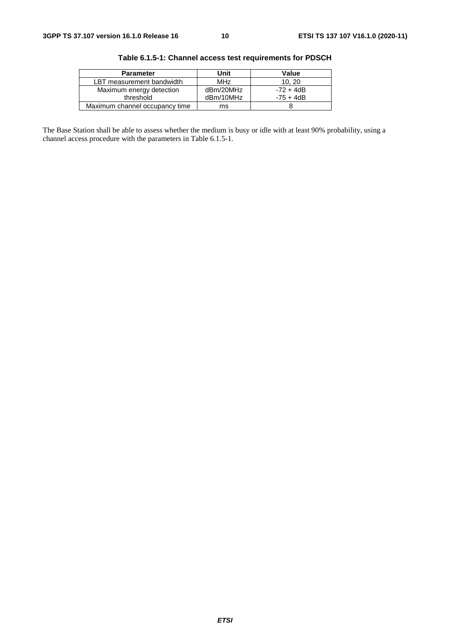| <b>Parameter</b>               | Unit            | Value       |
|--------------------------------|-----------------|-------------|
| LBT measurement bandwidth      | MH <sub>7</sub> | 10.20       |
| Maximum energy detection       | dBm/20MHz       | $-72 + 4dB$ |
| threshold                      | dBm/10MHz       | $-75 + 4dB$ |
| Maximum channel occupancy time | ms              |             |

**Table 6.1.5-1: Channel access test requirements for PDSCH** 

The Base Station shall be able to assess whether the medium is busy or idle with at least 90% probability, using a channel access procedure with the parameters in Table 6.1.5-1.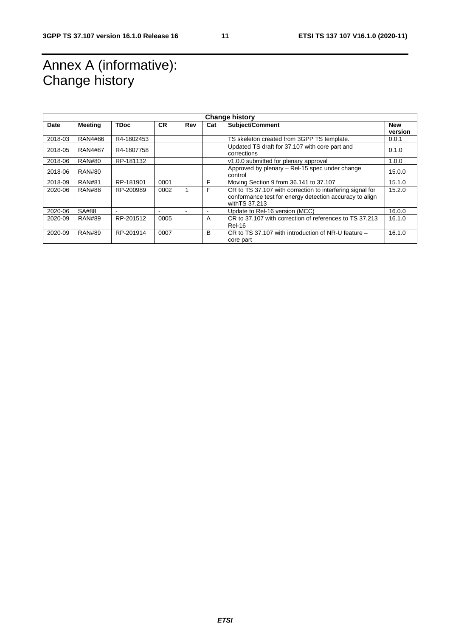## Annex A (informative): Change history

| <b>Change history</b> |                |             |           |     |     |                                                                           |            |
|-----------------------|----------------|-------------|-----------|-----|-----|---------------------------------------------------------------------------|------------|
| Date                  | Meeting        | <b>TDoc</b> | <b>CR</b> | Rev | Cat | Subject/Comment                                                           | <b>New</b> |
|                       |                |             |           |     |     |                                                                           | version    |
| 2018-03               | RAN4#86        | R4-1802453  |           |     |     | TS skeleton created from 3GPP TS template.                                | 0.0.1      |
| 2018-05               | <b>RAN4#87</b> | R4-1807758  |           |     |     | Updated TS draft for 37.107 with core part and<br>corrections             | 0.1.0      |
| 2018-06               | <b>RAN#80</b>  | RP-181132   |           |     |     | v1.0.0 submitted for plenary approval                                     | 1.0.0      |
| 2018-06               | RAN#80         |             |           |     |     | Approved by plenary – Rel-15 spec under change<br>control                 | 15.0.0     |
| 2018-09               | <b>RAN#81</b>  | RP-181901   | 0001      |     | F   | Moving Section 9 from 36.141 to 37.107                                    | 15.1.0     |
| 2020-06               | <b>RAN#88</b>  | RP-200989   | 0002      |     | F   | CR to TS 37.107 with correction to interfering signal for                 | 15.2.0     |
|                       |                |             |           |     |     | conformance test for energy detection accuracy to align<br>with TS 37.213 |            |
| 2020-06               | SA#88          |             | -         |     |     | Update to Rel-16 version (MCC)                                            | 16.0.0     |
| 2020-09               | <b>RAN#89</b>  | RP-201512   | 0005      |     | A   | CR to 37,107 with correction of references to TS 37,213<br><b>Rel-16</b>  | 16.1.0     |
| 2020-09               | <b>RAN#89</b>  | RP-201914   | 0007      |     | B   | CR to TS 37.107 with introduction of NR-U feature -<br>core part          | 16.1.0     |